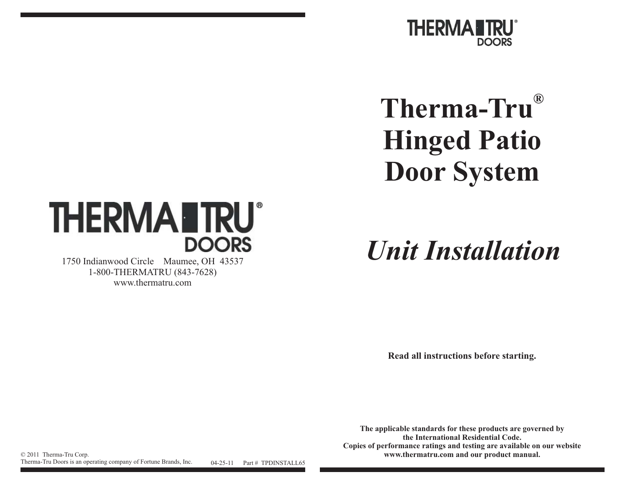

# **Therma-Tru® Hinged Patio Door System**



1750 Indianwood Circle Maumee, OH 43537 1-800-THERMATRU (843-7628) www.thermatru.com

*Unit Installation*

**Read all instructions before starting.**

**The applicable standards for these products are governed by the International Residential Code.Copies of performance ratings and testing are available on our website** © <sup>2011</sup> Therma-Tru Corp. **www.thermatru.com and our product manual.**

Therma-Tru Doors is an operating company of Fortune Brands, Inc. 04-25-11 Part # TPDINSTALL65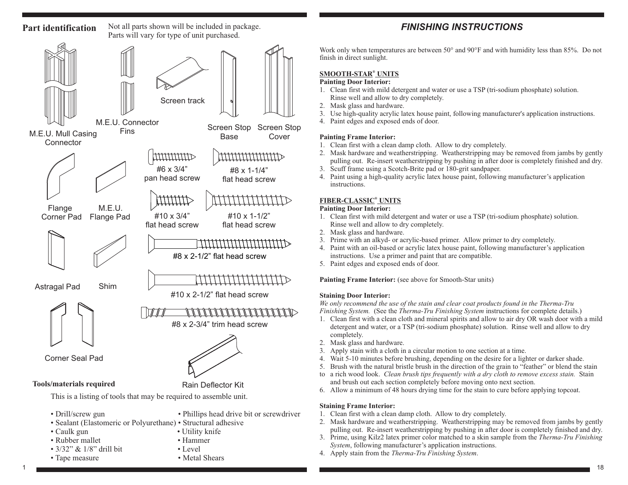## Not all parts shown will be included in package. **Part identification**Parts will vary for type of unit purchased. Screen trackM.E.U. ConnectorScreen Stop M.E.U. Mull Casing Fins Screen Stop Screen Stop M.E.U. Mull Casing Fins Screen Stop Rase Cover FinsBase**Connector** mmmm #6 x 3/4"#8 x 1-1/4"pan head screw flat head screwmmu Flange M.E.U.#10 x 3/4"Flange Pad #10 x 1-1/2"Corner Pad flat head screwflat head screw#8 x 2-1/2" flat head screwAstragal Pad Shim#10 x 2-1/2" flat head screw#8 x 2-3/4" trim head screwCorner Seal Pad**Tools/materials required** Rain Deflector Kit

This is <sup>a</sup> listing of tools that may be required to assemble unit.

• Drill/screw gun

• Phillips head drive bit or screwdriver

- Sealant (Elastomeric or Polyurethane) Structural adhesive
- Caulk gun
- Rubber mallet Hammer
- $3/32$ " &  $1/8$ " drill bit Level
- Tape measure
- 
- Utility knife
- 
- 
- Tape measure Metal Shears

# *FINISHING INSTRUCTIONS*

Work only when temperatures are between 50° and 90°F and with humidity less than 85%. Do not finish in direct sunlight.

# **SMOOTH-STAR UNITS®**

### **Painting Door Interior:**

- 1. Clean first with mild detergent and water or use <sup>a</sup> TSP (tri-sodium phosphate) solution. Rinse well and allow to dry completely.
- 2. Mask glass and hardware.
- 3. Use high-quality acrylic latex house paint, following manufacturer's application instructions.
- 4. Paint edges and exposed ends of door.

### **Painting Frame Interior:**

- 1. Clean first with <sup>a</sup> clean damp cloth. Allow to dry completely.
- 2. Mask hardware and weatherstripping. Weatherstripping may be removed from jambs by gently pulling out. Re-insert weatherstripping by pushing in after door is completely finished and dry.
- 3. Scuff frame using <sup>a</sup> Scotch-Brite pad or 180-grit sandpaper.
- 4. Paint using <sup>a</sup> high-quality acrylic latex house paint, following manufacturer's application instructions.

# **FIBER-CLASSIC UNITS®**

### **Painting Door Interior:**

- 1. Clean first with mild detergent and water or use <sup>a</sup> TSP (tri-sodium phosphate) solution. Rinse well and allow to dry completely.
- 2. Mask glass and hardware.
- 3. Prime with an alkyd- or acrylic-based primer. Allow primer to dry completely.
- 4. Paint with an oil-based or acrylic latex house paint, following manufacturer's application instructions. Use <sup>a</sup> primer and paint that are compatible.
- 5. Paint edges and exposed ends of door.

### **Painting Frame Interior:** (see above for Smooth-Star units)

### **Staining Door Interior:**

*Finishing System.* (See the *Therma-Tru Finishing System* instructions for complete details.) We only recommend the use of the stain and clear coat products found in the Therma-Tru

- 1. Clean first with <sup>a</sup> clean cloth and mineral spirits and allow to air dry OR wash door with <sup>a</sup> mild detergent and water, or <sup>a</sup> TSP (tri-sodium phosphate) solution. Rinse well and allow to dry completely.
- 2. Mask glass and hardware.
- 3. Apply stain with <sup>a</sup> cloth in <sup>a</sup> circular motion to one section at <sup>a</sup> time.
- 4. Wait 5-10 minutes before brushing, depending on the desire for <sup>a</sup> lighter or darker shade.
- 5. Brush with the natural bristle brush in the direction of the grain to "feather" or blend the stain
- to a rich wood look. *Clean brush tips frequently with a dry cloth to remove excess stain*. Stain and brush out each section completely before moving onto next section.
- 6. Allow <sup>a</sup> minimum of 48 hours drying time for the stain to cure before applying topcoat.

### **Staining Frame Interior:**

- 1. Clean first with <sup>a</sup> clean damp cloth. Allow to dry completely.
- 2. Mask hardware and weatherstripping. Weatherstripping may be removed from jambs by gently pulling out. Re-insert weatherstripping by pushing in after door is completely finished and dry.
- 3. Prime, using Kilz2 latex primer color matched to <sup>a</sup> skin sample from the *Therma-Tru Finishing* System, following manufacturer's application instructions.
- 4. Apply stain from the . *Therma-Tru Finishing System*

1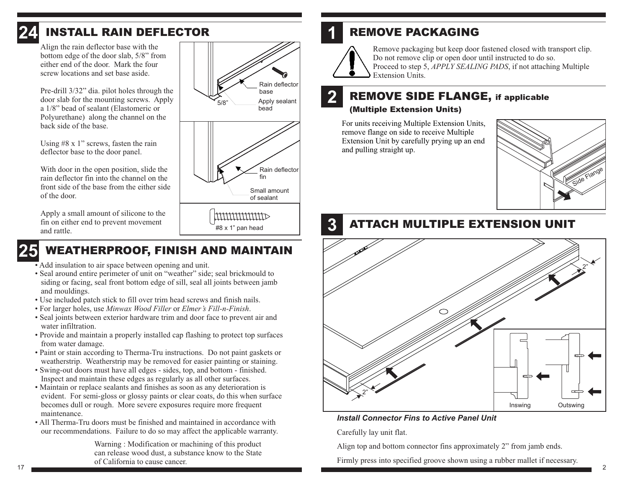

# *INSTALL RAIN DEFLECTOR*

Align the rain deflector base with the bottom edge of the door slab, 5/8" from either end of the door. Mark the fourscrew locations and set base aside.

Pre-drill 3/32" dia. pilot holes through the door slab for the mounting screws. Apply <sup>a</sup> 1/8" bead of sealant (Elastomeric or Polyurethane) along the channel on the back side of the base.

Using #8 <sup>x</sup> 1" screws, fasten the rain deflector base to the door panel.

With door in the open position, slide the rain deflector fin into the channel on thefront side of the base from the either sideof the door.

Apply <sup>a</sup> small amount of silicone to the fin on either end to preven<sup>t</sup> movement and rattle.

### **25***WEATHERPROOF, FINISH AND MAINTAIN*

- Add insulation to air space between opening and unit.
- Seal around entire perimeter of unit on "weather" side; seal brickmould to siding or facing, seal front bottom edge of sill, seal all joints between jamb and mouldings.
- Use included patch stick to fill over trim head screws and finish nails.
- For larger holes, use *Minwax Wood Filler* or *Elmer's Fill-n-Finish*.
- Seal joints between exterior hardware trim and door face to preven<sup>t</sup> air and water infiltration.
- Provide and maintain <sup>a</sup> properly installed cap flashing to protect top surfaces from water damage.
- Paint or stain according to Therma-Tru instructions. Do not paint gaskets or weatherstrip. Weatherstrip may be removed for easier painting or staining.
- Swing-out doors must have all edges sides, top, and bottom finished. Inspect and maintain these edges as regularly as all other surfaces.
- Maintain or replace sealants and finishes as soon as any deterioration is evident. For semi-gloss or glossy paints or clear coats, do this when surface becomes dull or rough. More severe exposures require more frequent maintenance.
- All Therma-Tru doors must be finished and maintained in accordance with our recommendations. Failure to do so may affect the applicable warranty.

Warning : Modification or machining of this product can release wood dust, <sup>a</sup> substance know to the State of California to cause cancer.



# *REMOVE PACKAGING*



**1**

**2**

**3**

Remove packaging but keep door fastened closed with transport clip. Do not remove clip or open door until instructed to do so. *Proceed to step 5, APPLY SEALING PADS, if not attaching Multiple* Extension Units.

# *REMOVE SIDE FLANGE, if applicable (Multiple Extension Units)*

For units receiving Multiple Extension Units, remove flange on side to receive Multiple Extension Unit by carefully prying up an end and pulling straight up.



# *ATTACH MULTIPLE EXTENSION UNIT*



### *Install Connector Fins to Active Panel Unit*

Carefully lay unit flat.

Align top and bottom connector fins approximately 2" from jamb ends.

Firmly press into specified groove shown using <sup>a</sup> rubber mallet if necessary.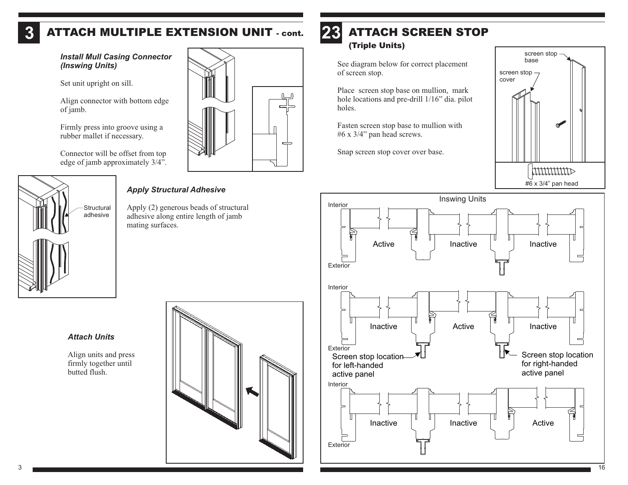### **3***ATTACH MULTIPLE EXTENSION UNIT - cont.*

*Install Mull Casing Connector (Inswing Units)*

Set unit upright on sill.

Align connector with bottom edge of jamb.

Firmly press into groove using <sup>a</sup> rubber mallet if necessary.

Connector will be offset from top edge of jamb approximately 3/4".



# *Apply Structural Adhesive*

Apply (2) generous beads of structural adhesive along entire length of jamb mating surfaces.

### **23***ATTACH SCREEN STOP(Triple Units)*

See diagram below for correct placement of screen stop.

Place screen stop base on mullion, mark hole locations and pre-drill 1/16" dia. pilot holes.

Fasten screen stop base to mullion with #6 <sup>x</sup> 3/4" pan head screws.

Snap screen stop cover over base.





*Attach Units*

Align units and press firmly together until butted flush.

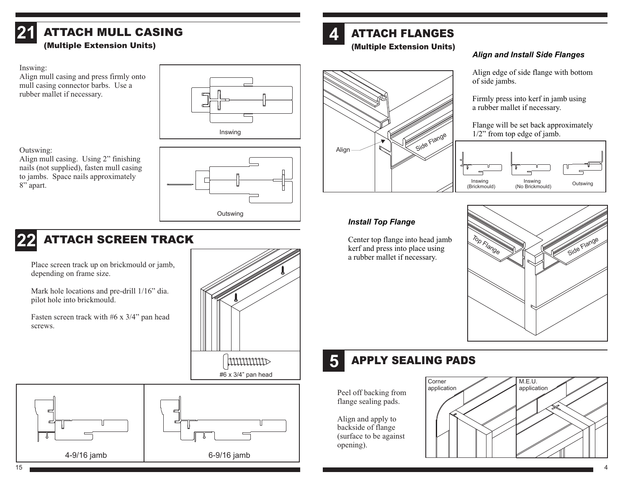

# *ATTACH MULL CASING(Multiple Extension Units)*

### Inswing:

Align mull casing and press firmly onto mull casing connector barbs. Use <sup>a</sup> rubber mallet if necessary.





munum

### Outswing:

Align mull casing. Using 2" finishing nails (not supplied), fasten mull casing



# Align Side Flange

### *Align and Install Side Flanges*

Align edge of side flange with bottom of side jambs.

Firmly press into kerf in jamb using <sup>a</sup> rubber mallet if necessary.

Flange will be set back approximately 1/2" from top edge of jamb.



# *Install Top Flange*

Center top flange into head jamb kerf and press into place using <sup>a</sup> rubber mallet if necessary.



### **5***APPLY SEALING PADS*

Peel off backing from flange sealing pads.

Align and apply to backside of flange (surface to be against opening).



to jambs. Space nails approximately 8" apart.

### **22***ATTACH SCREEN TRACK*

Place screen track up on brickmould or jamb, depending on frame size.

Mark hole locations and pre-drill 1/16" dia. pilot hole into brickmould.

Fasten screen track with #6 <sup>x</sup> 3/4" pan head screws.

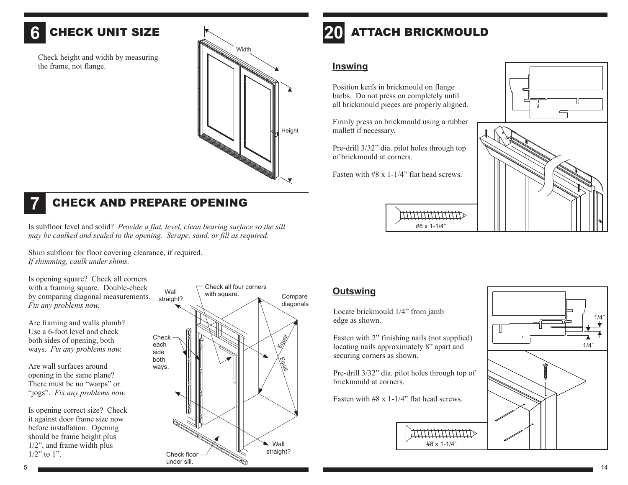### **6***CHECK UNIT SIZE*

Check height and width by measuring the frame, not flange.





# *CHECK AND PREPARE OPENING*

Is subfloor level and solid? *Provide <sup>a</sup> flat, level, clean bearing surface so the sill* may be caulked and sealed to the opening. Scrape, sand, or fill as required.

Shim subfloor for floor covering clearance, if required. *If shimming, caulk under shims.*

Is opening square? Check all corners with a framing square. Double-check by comparing diagonal measurements. *Fix any problems now.*

Are framing and walls plumb? Use <sup>a</sup> 6-foot level and checkboth sides of opening, both ways. *Fix any problems now.*

Are wall surfaces aroundopening in the same plane? There must be no "warps" or "jogs". *Fix any problems now.*

Is opening correct size? Check it against door frame size now before installation. Opening should be frame height plus 1/2", and frame width plus  $1/2$ " to 1".



### **20***ATTACH BRICKMOULD*

### **Inswing**

Position kerfs in brickmould on flange barbs. Do not press on completely until all brickmould pieces are properly aligned.

Firmly press on brickmould using <sup>a</sup> rubber mallett if necessary.

Pre-drill 3/32" dia. pilot holes through top of brickmould at corners.

Fasten with #8 <sup>x</sup> 1-1/4" flat head screws.





**MUNUMUM** #8 x 1-1/4"

# **Outswing**

Locate brickmould 1/4" from jamb edge as shown.

Fasten with 2" finishing nails (not supplied) locating nails approximately 8" apar<sup>t</sup> and securing corners as shown.

Pre-drill 3/32" dia. pilot holes through top of brickmould at corners.

#8 x 1-1/4"

Fasten with #8 <sup>x</sup> 1-1/4" flat head screws.



5

14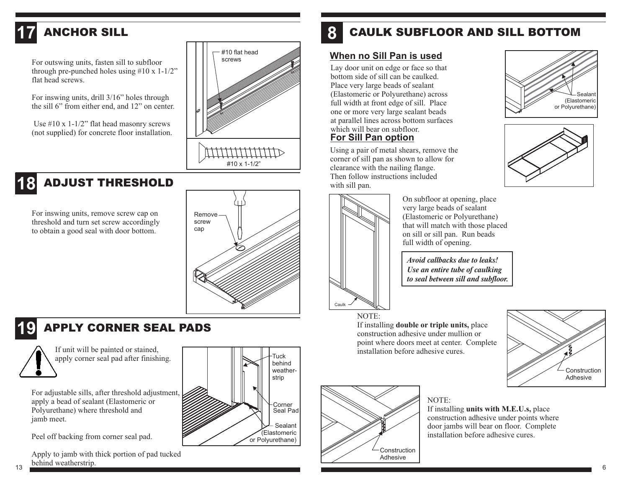

For outswing units, fasten sill to subfloor through pre-punched holes using  $#10 \times 1-1/2"$ flat head screws.

For inswing units, drill 3/16" holes through the sill 6" from either end, and 12" on center.

Use #10 x 1-1/2" flat head masonry screws (not supplied) for concrete floor installation.



### *ADJUST THRESHOLD***18**

For inswing units, remove screw cap on threshold and turn set screw accordingly to obtain <sup>a</sup> good seal with door bottom.



### **19***APPLY CORNER SEAL PADS*



If unit will be painted or stained, apply corner seal pad after finishing.

For adjustable sills, after threshold adjustment, apply <sup>a</sup> bead of sealant (Elastomeric or Polyurethane) where threshold and jamb meet.

Peel off backing from corner seal pad.

Apply to jamb with thick portion of pad tucked behind weatherstrip.

# CaulkTuck behindweather-

# Sealant (Elastomeric or Polyurethane) Corner Seal Pad strip

### **8***CAULK SUBFLOOR AND SILL BOTTOM*

# **When no Sill Pan is used**

Lay door unit on edge or face so that bottom side of sill can be caulked.Place very large beads of sealant (Elastomeric or Polyurethane) across full width at front edge of sill. Place one or more very large sealant beads at parallel lines across bottom surfaces which will bear on subfloor.**For Sill Pan option**

Using <sup>a</sup> pair of metal shears, remove the corner of sill pan as shown to allow for clearance with the nailing flange. Then follow instructions included with sill pan.



On subfloor at opening, place very large beads of sealant (Elastomeric or Polyurethane) that will match with those placed on sill or sill pan. Run beads full width of opening.

*Avoid callbacks due to leaks!Use an entire tube of caulking to seal between sill and subfloor.*

# NOTE:

If installing **double or triple units,** place construction adhesive under mullion or point where doors meet at center. Complete installation before adhesive cures.



# NOTE:

If installing **units with M.E.U.s,** place construction adhesive under points where door jambs will bear on floor. Complete installation before adhesive cures.





**Construction** Adhesive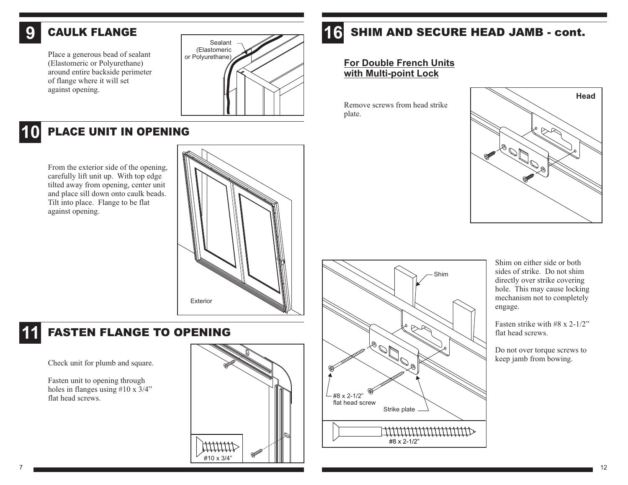### **9***CAULK FLANGE*

Place a generous bead of sealant  $\vert$  or Polyurethane) (Elastomeric or Polyurethane) around entire backside perimeter of flange where it will set against opening.



### **10***PLACE UNIT IN OPENING*

From the exterior side of the opening, carefully lift unit up. With top edge tilted away from opening, center unit and place sill down onto caulk beads. Tilt into place. Flange to be flat against opening.



# *FASTEN FLANGE TO OPENING*

Check unit for plumb and square.

Fasten unit to opening through holes in flanges using #10 <sup>x</sup> 3/4" flat head screws.



### **16***SHIM AND SECURE HEAD JAMB - cont.*

# **For Double French Units with Multi-point Lock**

Remove screws from head strikeplate.



Shim on either side or bothsides of strike. Do not shimdirectly over strike covering hole. This may cause locking mechanism not to completely engage.

> Fasten strike with #8 <sup>x</sup> 2-1/2"flat head screws.

Do not over torque screws to keep jamb from bowing.



Shim

**11**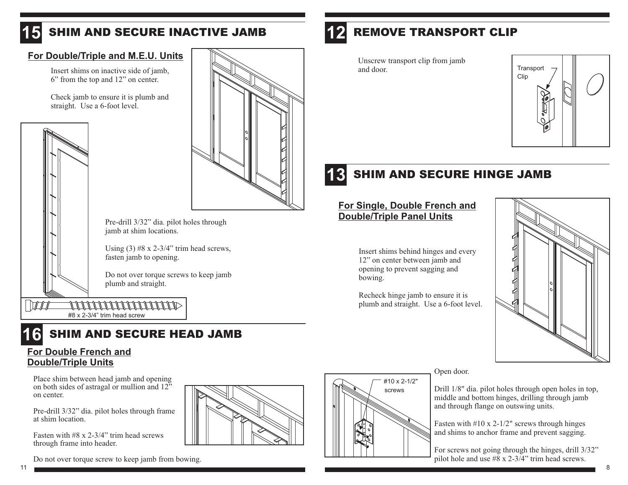### **15***SHIM AND SECURE INACTIVE JAMB*

# **For Double/Triple and M.E.U. Units**

Insert shims on inactive side of jamb, 6" from the top and 12" on center.

Check jamb to ensure it is plumb and straight. Use <sup>a</sup> 6-foot level.





Pre-drill 3/32" dia. pilot holes through jamb at shim locations.

Using  $(3)$  #8 x 2-3/4" trim head screws, fasten jamb to opening.

Do not over torque screws to keep jamb plumb and straight.

 $\sqrt{1}$ <u>TITITITITITITITIN</u> #8 x 2-3/4" trim head screw



# **For Double French and Double/Triple Units**

Place shim between head jamb and opening on both sides of astragal or mullion and 12" on center.

Pre-drill 3/32" dia. pilot holes through frame at shim location.

Fasten with #8 <sup>x</sup> 2-3/4" trim head screwsthrough frame into header.

Do not over torque screw to keep jamb from bowing.



### **12***REMOVE TRANSPORT CLIP*

Unscrew transport clip from jamb and door.



### **13***SHIM AND SECURE HINGE JAMB*

# **For Single, Double French and Double/Triple Panel Units**

Insert shims behind hinges and every 12" on center between jamb and opening to preven<sup>t</sup> sagging and bowing.

Recheck hinge jamb to ensure it is plumb and straight. Use <sup>a</sup> 6-foot level.

> #10 x 2-1/2" screws



### Open door.

Drill 1/8" dia. pilot holes through open holes in top, middle and bottom hinges, drilling through jamb and through flange on outswing units.

Fasten with #10 <sup>x</sup> 2-1/2" screws through hinges and shims to anchor frame and preven<sup>t</sup> sagging.

For screws not going through the hinges, drill 3/32" pilot hole and use #8 <sup>x</sup> 2-3/4" trim head screws.